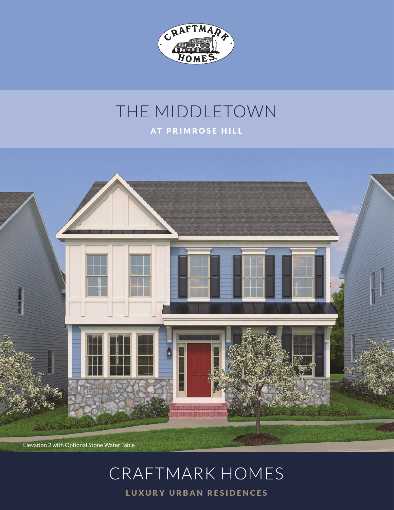

### THE MIDDLETOWN AT PRIMROSE HILL



Elevation 2 with Optional Stone Water Table

# CRAFTMARK HOMES

LUXURY URBAN RESIDENCES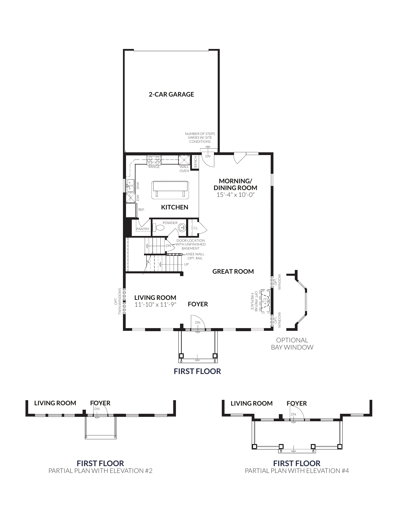

PARTIAL PLAN WITH ELEVATION #2

PARTIAL PLAN WITH ELEVATION #4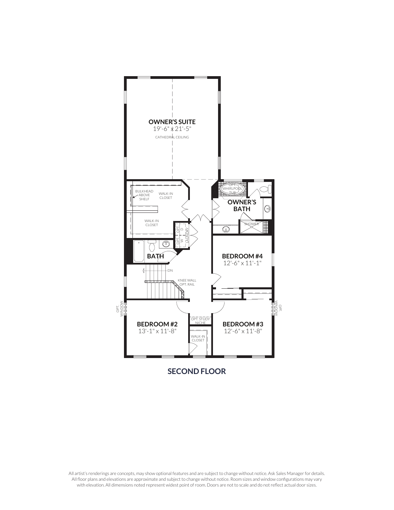

**SECOND FLOOR**

All artist's renderings are concepts, may show optional features and are subject to change without notice. Ask Sales Manager for details. All floor plans and elevations are approximate and subject to change without notice. Room sizes and window configurations may vary with elevation. All dimensions noted represent widest point of room. Doors are not to scale and do not reflect actual door sizes.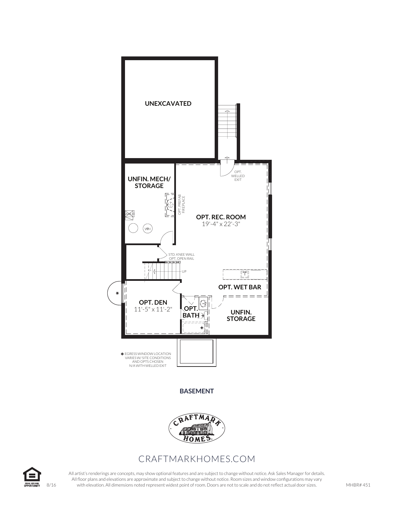

#### **BASEMENT**



### CRAFTMARKHOMES.COM



All artist's renderings are concepts, may show optional features and are subject to change without notice. Ask Sales Manager for details. All floor plans and elevations are approximate and subject to change without notice. Room sizes and window configurations may vary 8/16 with elevation. All dimensions noted represent widest point of room. Doors are not to scale and do not reflect actual door sizes.